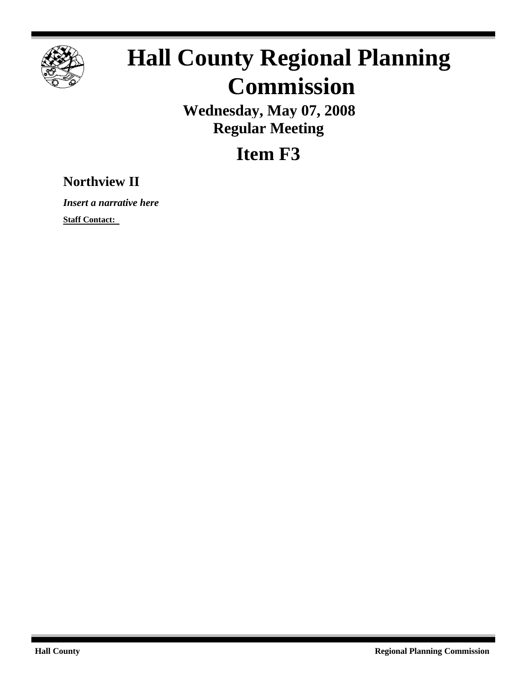

# **Hall County Regional Planning Commission**

**Wednesday, May 07, 2008 Regular Meeting**

**Item F3**

# **Northview II**

*Insert a narrative here*

**Staff Contact:**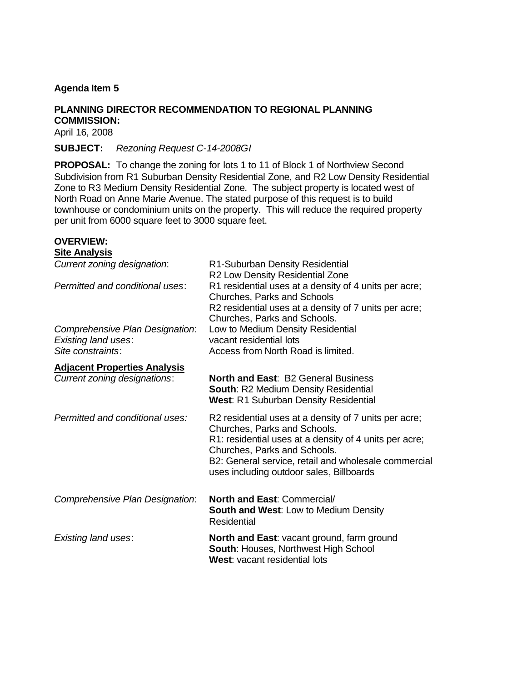# **Agenda Item 5**

### **PLANNING DIRECTOR RECOMMENDATION TO REGIONAL PLANNING COMMISSION:**

April 16, 2008

**SUBJECT:** *Rezoning Request C-14-2008GI*

**PROPOSAL:** To change the zoning for lots 1 to 11 of Block 1 of Northview Second Subdivision from R1 Suburban Density Residential Zone, and R2 Low Density Residential Zone to R3 Medium Density Residential Zone. The subject property is located west of North Road on Anne Marie Avenue. The stated purpose of this request is to build townhouse or condominium units on the property. This will reduce the required property per unit from 6000 square feet to 3000 square feet.

#### **OVERVIEW: Site Analysis**

| Current zoning designation:         | R1-Suburban Density Residential<br>R2 Low Density Residential Zone                                                                                                                                                                                                                  |
|-------------------------------------|-------------------------------------------------------------------------------------------------------------------------------------------------------------------------------------------------------------------------------------------------------------------------------------|
| Permitted and conditional uses:     | R1 residential uses at a density of 4 units per acre;<br>Churches, Parks and Schools<br>R2 residential uses at a density of 7 units per acre;<br>Churches, Parks and Schools.                                                                                                       |
| Comprehensive Plan Designation:     | Low to Medium Density Residential                                                                                                                                                                                                                                                   |
| <b>Existing land uses:</b>          | vacant residential lots                                                                                                                                                                                                                                                             |
| Site constraints:                   | Access from North Road is limited.                                                                                                                                                                                                                                                  |
| <b>Adjacent Properties Analysis</b> |                                                                                                                                                                                                                                                                                     |
| Current zoning designations:        | <b>North and East: B2 General Business</b><br><b>South: R2 Medium Density Residential</b><br><b>West: R1 Suburban Density Residential</b>                                                                                                                                           |
| Permitted and conditional uses:     | R2 residential uses at a density of 7 units per acre;<br>Churches, Parks and Schools.<br>R1: residential uses at a density of 4 units per acre;<br>Churches, Parks and Schools.<br>B2: General service, retail and wholesale commercial<br>uses including outdoor sales, Billboards |
| Comprehensive Plan Designation:     | <b>North and East: Commercial/</b><br><b>South and West: Low to Medium Density</b><br>Residential                                                                                                                                                                                   |
| Existing land uses:                 | <b>North and East: vacant ground, farm ground</b><br><b>South: Houses, Northwest High School</b><br>West: vacant residential lots                                                                                                                                                   |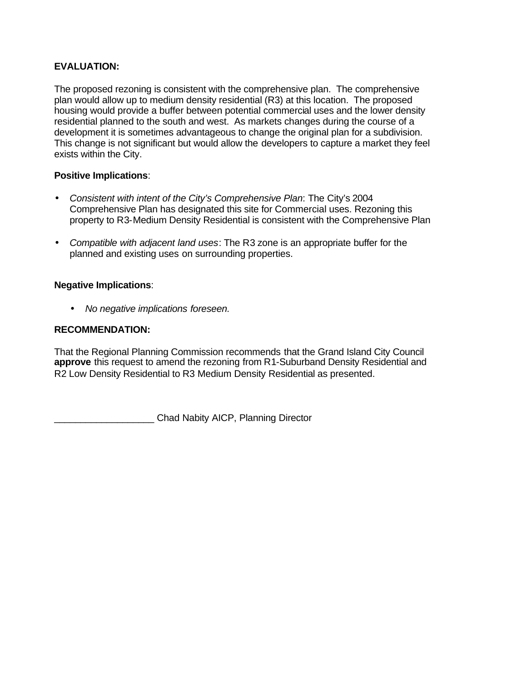# **EVALUATION:**

The proposed rezoning is consistent with the comprehensive plan. The comprehensive plan would allow up to medium density residential (R3) at this location. The proposed housing would provide a buffer between potential commercial uses and the lower density residential planned to the south and west. As markets changes during the course of a development it is sometimes advantageous to change the original plan for a subdivision. This change is not significant but would allow the developers to capture a market they feel exists within the City.

## **Positive Implications**:

- *Consistent with intent of the City's Comprehensive Plan*: The City's 2004 Comprehensive Plan has designated this site for Commercial uses. Rezoning this property to R3-Medium Density Residential is consistent with the Comprehensive Plan
- *Compatible with adjacent land uses*: The R3 zone is an appropriate buffer for the planned and existing uses on surrounding properties.

# **Negative Implications**:

• *No negative implications foreseen.*

# **RECOMMENDATION:**

That the Regional Planning Commission recommends that the Grand Island City Council **approve** this request to amend the rezoning from R1-Suburband Density Residential and R2 Low Density Residential to R3 Medium Density Residential as presented.

\_\_\_\_\_\_\_\_\_\_\_\_\_\_\_\_\_\_\_ Chad Nabity AICP, Planning Director